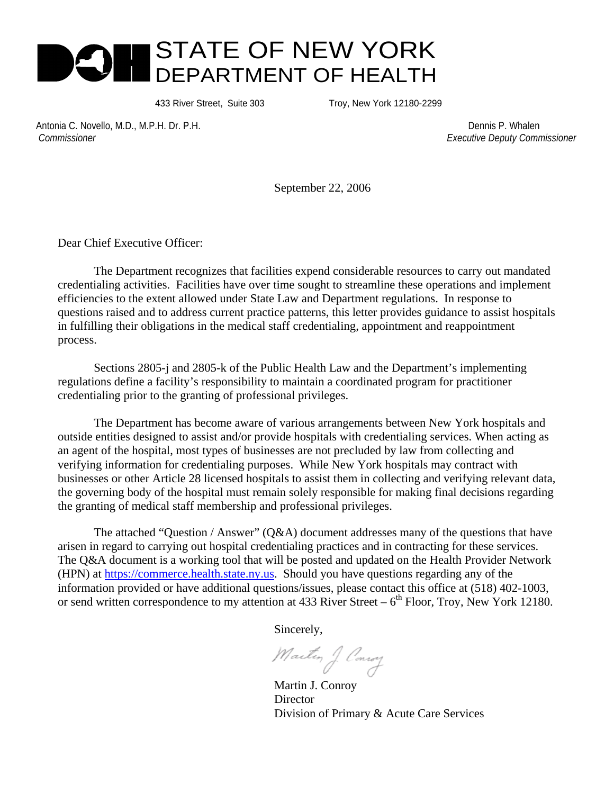

433 River Street, Suite 303 Troy, New York 12180-2299

Antonia C. Novello, M.D., M.P.H. Dr. P.H. Dennis P. Whalen  *Commissioner Executive Deputy Commissioner* 

September 22, 2006

Dear Chief Executive Officer:

The Department recognizes that facilities expend considerable resources to carry out mandated credentialing activities. Facilities have over time sought to streamline these operations and implement efficiencies to the extent allowed under State Law and Department regulations. In response to questions raised and to address current practice patterns, this letter provides guidance to assist hospitals in fulfilling their obligations in the medical staff credentialing, appointment and reappointment process.

Sections 2805-j and 2805-k of the Public Health Law and the Department's implementing regulations define a facility's responsibility to maintain a coordinated program for practitioner credentialing prior to the granting of professional privileges.

The Department has become aware of various arrangements between New York hospitals and outside entities designed to assist and/or provide hospitals with credentialing services. When acting as an agent of the hospital, most types of businesses are not precluded by law from collecting and verifying information for credentialing purposes. While New York hospitals may contract with businesses or other Article 28 licensed hospitals to assist them in collecting and verifying relevant data, the governing body of the hospital must remain solely responsible for making final decisions regarding the granting of medical staff membership and professional privileges.

The attached "Question / Answer" (Q&A) document addresses many of the questions that have arisen in regard to carrying out hospital credentialing practices and in contracting for these services. The Q&A document is a working tool that will be posted and updated on the Health Provider Network (HPN) at https://commerce.health.state.ny.us. Should you have questions regarding any of the information provided or have additional questions/issues, please contact this office at (518) 402-1003, or send written correspondence to my attention at 433 River Street –  $6<sup>th</sup>$  Floor, Troy, New York 12180.

Sincerely,

Martin J Consoy

Martin J. Conroy Director Division of Primary & Acute Care Services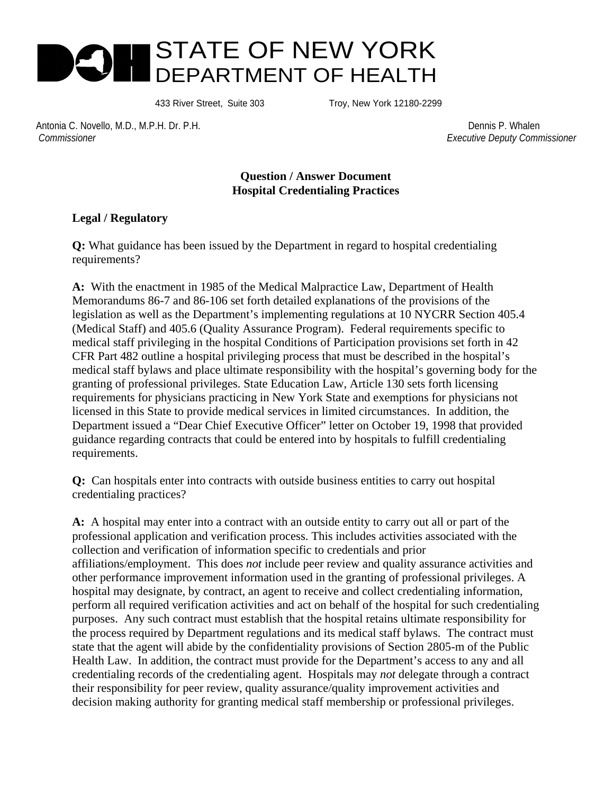

433 River Street, Suite 303 Troy, New York 12180-2299

Antonia C. Novello, M.D., M.P.H. Dr. P.H. Dennis P. Whalen  *Commissioner Executive Deputy Commissioner* 

## **Question / Answer Document Hospital Credentialing Practices**

## **Legal / Regulatory**

**Q:** What guidance has been issued by the Department in regard to hospital credentialing requirements?

**A:** With the enactment in 1985 of the Medical Malpractice Law, Department of Health Memorandums 86-7 and 86-106 set forth detailed explanations of the provisions of the legislation as well as the Department's implementing regulations at 10 NYCRR Section 405.4 (Medical Staff) and 405.6 (Quality Assurance Program). Federal requirements specific to medical staff privileging in the hospital Conditions of Participation provisions set forth in 42 CFR Part 482 outline a hospital privileging process that must be described in the hospital's medical staff bylaws and place ultimate responsibility with the hospital's governing body for the granting of professional privileges. State Education Law, Article 130 sets forth licensing requirements for physicians practicing in New York State and exemptions for physicians not licensed in this State to provide medical services in limited circumstances. In addition, the Department issued a "Dear Chief Executive Officer" letter on October 19, 1998 that provided guidance regarding contracts that could be entered into by hospitals to fulfill credentialing requirements.

**Q:** Can hospitals enter into contracts with outside business entities to carry out hospital credentialing practices?

**A:** A hospital may enter into a contract with an outside entity to carry out all or part of the professional application and verification process. This includes activities associated with the collection and verification of information specific to credentials and prior affiliations/employment. This does *not* include peer review and quality assurance activities and other performance improvement information used in the granting of professional privileges. A hospital may designate, by contract, an agent to receive and collect credentialing information, perform all required verification activities and act on behalf of the hospital for such credentialing purposes. Any such contract must establish that the hospital retains ultimate responsibility for the process required by Department regulations and its medical staff bylaws. The contract must state that the agent will abide by the confidentiality provisions of Section 2805-m of the Public Health Law. In addition, the contract must provide for the Department's access to any and all credentialing records of the credentialing agent. Hospitals may *not* delegate through a contract their responsibility for peer review, quality assurance/quality improvement activities and decision making authority for granting medical staff membership or professional privileges.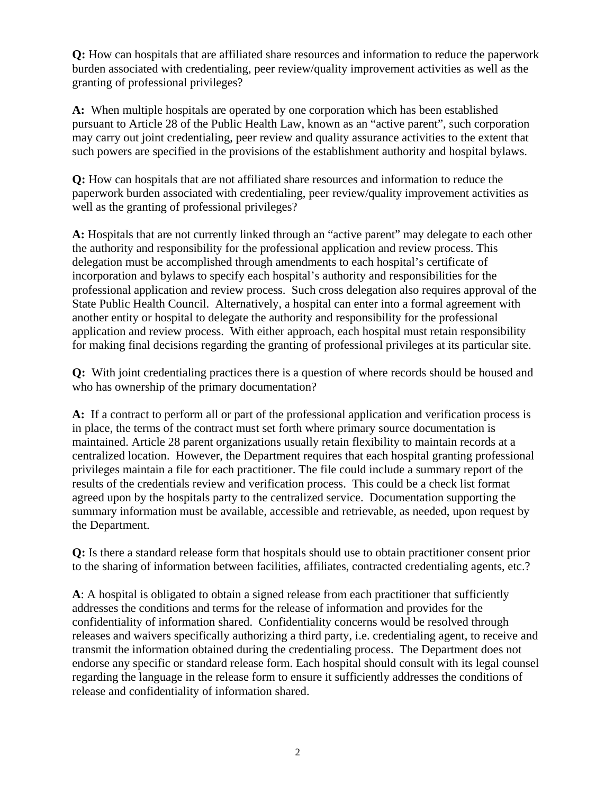**Q:** How can hospitals that are affiliated share resources and information to reduce the paperwork burden associated with credentialing, peer review/quality improvement activities as well as the granting of professional privileges?

**A:** When multiple hospitals are operated by one corporation which has been established pursuant to Article 28 of the Public Health Law, known as an "active parent", such corporation may carry out joint credentialing, peer review and quality assurance activities to the extent that such powers are specified in the provisions of the establishment authority and hospital bylaws.

**Q:** How can hospitals that are not affiliated share resources and information to reduce the paperwork burden associated with credentialing, peer review/quality improvement activities as well as the granting of professional privileges?

**A:** Hospitals that are not currently linked through an "active parent" may delegate to each other the authority and responsibility for the professional application and review process. This delegation must be accomplished through amendments to each hospital's certificate of incorporation and bylaws to specify each hospital's authority and responsibilities for the professional application and review process. Such cross delegation also requires approval of the State Public Health Council. Alternatively, a hospital can enter into a formal agreement with another entity or hospital to delegate the authority and responsibility for the professional application and review process. With either approach, each hospital must retain responsibility for making final decisions regarding the granting of professional privileges at its particular site.

**Q:** With joint credentialing practices there is a question of where records should be housed and who has ownership of the primary documentation?

**A:** If a contract to perform all or part of the professional application and verification process is in place, the terms of the contract must set forth where primary source documentation is maintained. Article 28 parent organizations usually retain flexibility to maintain records at a centralized location. However, the Department requires that each hospital granting professional privileges maintain a file for each practitioner. The file could include a summary report of the results of the credentials review and verification process. This could be a check list format agreed upon by the hospitals party to the centralized service. Documentation supporting the summary information must be available, accessible and retrievable, as needed, upon request by the Department.

**Q:** Is there a standard release form that hospitals should use to obtain practitioner consent prior to the sharing of information between facilities, affiliates, contracted credentialing agents, etc.?

**A**: A hospital is obligated to obtain a signed release from each practitioner that sufficiently addresses the conditions and terms for the release of information and provides for the confidentiality of information shared. Confidentiality concerns would be resolved through releases and waivers specifically authorizing a third party, i.e. credentialing agent, to receive and transmit the information obtained during the credentialing process. The Department does not endorse any specific or standard release form. Each hospital should consult with its legal counsel regarding the language in the release form to ensure it sufficiently addresses the conditions of release and confidentiality of information shared.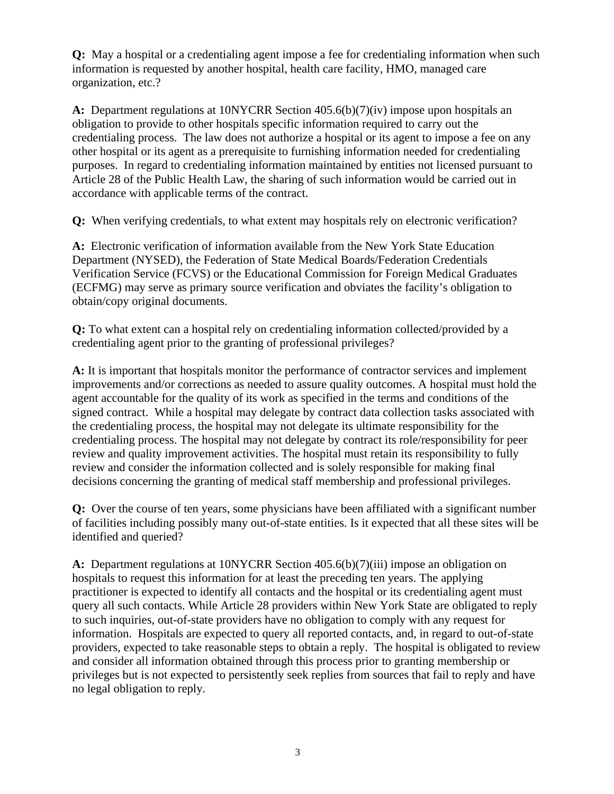**Q:** May a hospital or a credentialing agent impose a fee for credentialing information when such information is requested by another hospital, health care facility, HMO, managed care organization, etc.?

**A:** Department regulations at 10NYCRR Section 405.6(b)(7)(iv) impose upon hospitals an obligation to provide to other hospitals specific information required to carry out the credentialing process. The law does not authorize a hospital or its agent to impose a fee on any other hospital or its agent as a prerequisite to furnishing information needed for credentialing purposes. In regard to credentialing information maintained by entities not licensed pursuant to Article 28 of the Public Health Law, the sharing of such information would be carried out in accordance with applicable terms of the contract.

**Q:** When verifying credentials, to what extent may hospitals rely on electronic verification?

**A:** Electronic verification of information available from the New York State Education Department (NYSED), the Federation of State Medical Boards/Federation Credentials Verification Service (FCVS) or the Educational Commission for Foreign Medical Graduates (ECFMG) may serve as primary source verification and obviates the facility's obligation to obtain/copy original documents.

**Q:** To what extent can a hospital rely on credentialing information collected/provided by a credentialing agent prior to the granting of professional privileges?

**A:** It is important that hospitals monitor the performance of contractor services and implement improvements and/or corrections as needed to assure quality outcomes. A hospital must hold the agent accountable for the quality of its work as specified in the terms and conditions of the signed contract. While a hospital may delegate by contract data collection tasks associated with the credentialing process, the hospital may not delegate its ultimate responsibility for the credentialing process. The hospital may not delegate by contract its role/responsibility for peer review and quality improvement activities. The hospital must retain its responsibility to fully review and consider the information collected and is solely responsible for making final decisions concerning the granting of medical staff membership and professional privileges.

**Q:** Over the course of ten years, some physicians have been affiliated with a significant number of facilities including possibly many out-of-state entities. Is it expected that all these sites will be identified and queried?

**A:** Department regulations at 10NYCRR Section 405.6(b)(7)(iii) impose an obligation on hospitals to request this information for at least the preceding ten years. The applying practitioner is expected to identify all contacts and the hospital or its credentialing agent must query all such contacts. While Article 28 providers within New York State are obligated to reply to such inquiries, out-of-state providers have no obligation to comply with any request for information. Hospitals are expected to query all reported contacts, and, in regard to out-of-state providers, expected to take reasonable steps to obtain a reply. The hospital is obligated to review and consider all information obtained through this process prior to granting membership or privileges but is not expected to persistently seek replies from sources that fail to reply and have no legal obligation to reply.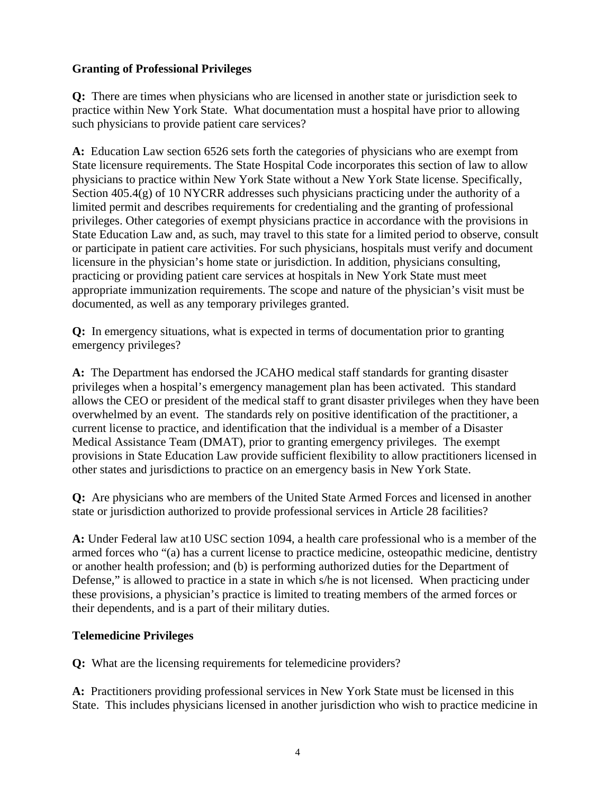## **Granting of Professional Privileges**

**Q:** There are times when physicians who are licensed in another state or jurisdiction seek to practice within New York State. What documentation must a hospital have prior to allowing such physicians to provide patient care services?

**A:** Education Law section 6526 sets forth the categories of physicians who are exempt from State licensure requirements. The State Hospital Code incorporates this section of law to allow physicians to practice within New York State without a New York State license. Specifically, Section 405.4(g) of 10 NYCRR addresses such physicians practicing under the authority of a limited permit and describes requirements for credentialing and the granting of professional privileges. Other categories of exempt physicians practice in accordance with the provisions in State Education Law and, as such, may travel to this state for a limited period to observe, consult or participate in patient care activities. For such physicians, hospitals must verify and document licensure in the physician's home state or jurisdiction. In addition, physicians consulting, practicing or providing patient care services at hospitals in New York State must meet appropriate immunization requirements. The scope and nature of the physician's visit must be documented, as well as any temporary privileges granted.

**Q:** In emergency situations, what is expected in terms of documentation prior to granting emergency privileges?

**A:** The Department has endorsed the JCAHO medical staff standards for granting disaster privileges when a hospital's emergency management plan has been activated. This standard allows the CEO or president of the medical staff to grant disaster privileges when they have been overwhelmed by an event. The standards rely on positive identification of the practitioner, a current license to practice, and identification that the individual is a member of a Disaster Medical Assistance Team (DMAT), prior to granting emergency privileges. The exempt provisions in State Education Law provide sufficient flexibility to allow practitioners licensed in other states and jurisdictions to practice on an emergency basis in New York State.

**Q:** Are physicians who are members of the United State Armed Forces and licensed in another state or jurisdiction authorized to provide professional services in Article 28 facilities?

**A:** Under Federal law at10 USC section 1094, a health care professional who is a member of the armed forces who "(a) has a current license to practice medicine, osteopathic medicine, dentistry or another health profession; and (b) is performing authorized duties for the Department of Defense," is allowed to practice in a state in which s/he is not licensed. When practicing under these provisions, a physician's practice is limited to treating members of the armed forces or their dependents, and is a part of their military duties.

## **Telemedicine Privileges**

**Q:** What are the licensing requirements for telemedicine providers?

**A:** Practitioners providing professional services in New York State must be licensed in this State. This includes physicians licensed in another jurisdiction who wish to practice medicine in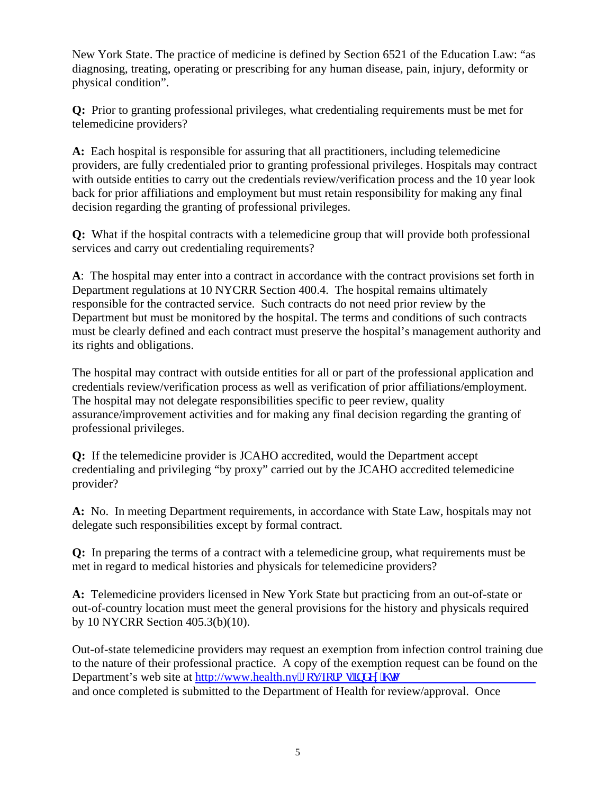New York State. The practice of medicine is defined by Section 6521 of the Education Law: "as diagnosing, treating, operating or prescribing for any human disease, pain, injury, deformity or physical condition".

**Q:** Prior to granting professional privileges, what credentialing requirements must be met for telemedicine providers?

**A:** Each hospital is responsible for assuring that all practitioners, including telemedicine providers, are fully credentialed prior to granting professional privileges. Hospitals may contract with outside entities to carry out the credentials review/verification process and the 10 year look back for prior affiliations and employment but must retain responsibility for making any final decision regarding the granting of professional privileges.

**Q:** What if the hospital contracts with a telemedicine group that will provide both professional services and carry out credentialing requirements?

**A**: The hospital may enter into a contract in accordance with the contract provisions set forth in Department regulations at 10 NYCRR Section 400.4. The hospital remains ultimately responsible for the contracted service. Such contracts do not need prior review by the Department but must be monitored by the hospital. The terms and conditions of such contracts must be clearly defined and each contract must preserve the hospital's management authority and its rights and obligations.

The hospital may contract with outside entities for all or part of the professional application and credentials review/verification process as well as verification of prior affiliations/employment. The hospital may not delegate responsibilities specific to peer review, quality assurance/improvement activities and for making any final decision regarding the granting of professional privileges.

**Q:** If the telemedicine provider is JCAHO accredited, would the Department accept credentialing and privileging "by proxy" carried out by the JCAHO accredited telemedicine provider?

**A:** No. In meeting Department requirements, in accordance with State Law, hospitals may not delegate such responsibilities except by formal contract.

**Q:** In preparing the terms of a contract with a telemedicine group, what requirements must be met in regard to medical histories and physicals for telemedicine providers?

**A:** Telemedicine providers licensed in New York State but practicing from an out-of-state or out-of-country location must meet the general provisions for the history and physicals required by 10 NYCRR Section 405.3(b)(10).

Out-of-state telemedicine providers may request an exemption from infection control training due to the nature of their professional practice. A copy of the exemption request can be found on the Department's web site at http://www.health.ny $\theta$  qx/lqto ullof gz $\theta$  vo and once completed is submitted to the Department of Health for review/approval. Once